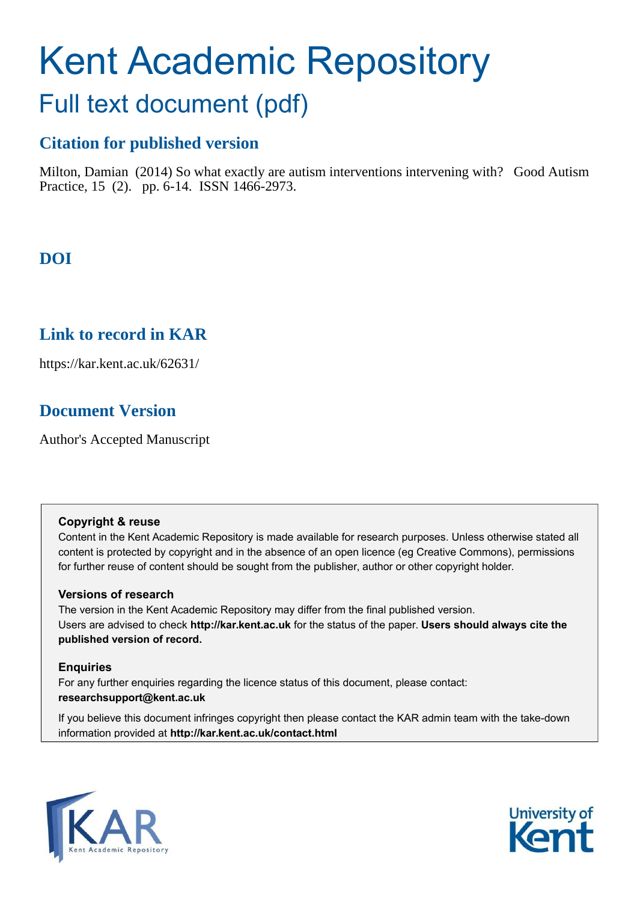# Kent Academic Repository

# Full text document (pdf)

## **Citation for published version**

Milton, Damian (2014) So what exactly are autism interventions intervening with? Good Autism Practice, 15 (2). pp. 6-14. ISSN 1466-2973.

# **DOI**

## **Link to record in KAR**

https://kar.kent.ac.uk/62631/

# **Document Version**

Author's Accepted Manuscript

#### **Copyright & reuse**

Content in the Kent Academic Repository is made available for research purposes. Unless otherwise stated all content is protected by copyright and in the absence of an open licence (eg Creative Commons), permissions for further reuse of content should be sought from the publisher, author or other copyright holder.

#### **Versions of research**

The version in the Kent Academic Repository may differ from the final published version. Users are advised to check **http://kar.kent.ac.uk** for the status of the paper. **Users should always cite the published version of record.**

#### **Enquiries**

For any further enquiries regarding the licence status of this document, please contact: **researchsupport@kent.ac.uk**

If you believe this document infringes copyright then please contact the KAR admin team with the take-down information provided at **http://kar.kent.ac.uk/contact.html**



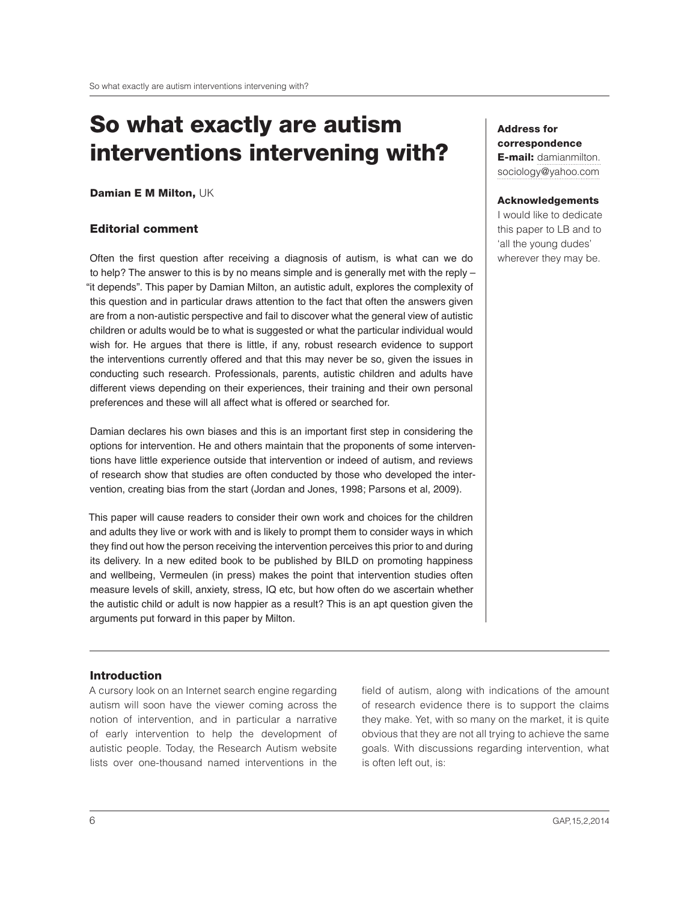# So what exactly are autism interventions intervening with?

Damian E M Milton, UK

#### Editorial comment

Often the irst question after receiving a diagnosis of autism, is what can we do to help? The answer to this is by no means simple and is generally met with the reply – "it depends". This paper by Damian Milton, an autistic adult, explores the complexity of this question and in particular draws attention to the fact that often the answers given are from a non-autistic perspective and fail to discover what the general view of autistic children or adults would be to what is suggested or what the particular individual would wish for. He argues that there is little, if any, robust research evidence to support the interventions currently offered and that this may never be so, given the issues in conducting such research. Professionals, parents, autistic children and adults have different views depending on their experiences, their training and their own personal preferences and these will all affect what is offered or searched for.

Damian declares his own biases and this is an important first step in considering the options for intervention. He and others maintain that the proponents of some interventions have little experience outside that intervention or indeed of autism, and reviews of research show that studies are often conducted by those who developed the intervention, creating bias from the start (Jordan and Jones, 1998; Parsons et al, 2009).

This paper will cause readers to consider their own work and choices for the children and adults they live or work with and is likely to prompt them to consider ways in which they ind out how the person receiving the intervention perceives this prior to and during its delivery. In a new edited book to be published by BILD on promoting happiness and wellbeing, Vermeulen (in press) makes the point that intervention studies often measure levels of skill, anxiety, stress, IQ etc, but how often do we ascertain whether the autistic child or adult is now happier as a result? This is an apt question given the arguments put forward in this paper by Milton.

#### Address for correspondence **E-mail: damianmilton.** sociology@yahoo.com

#### Acknowledgements

I would like to dedicate this paper to LB and to 'all the young dudes' wherever they may be.

#### Introduction

A cursory look on an Internet search engine regarding autism will soon have the viewer coming across the notion of intervention, and in particular a narrative of early intervention to help the development of autistic people. Today, the Research Autism website lists over one-thousand named interventions in the

field of autism, along with indications of the amount of research evidence there is to support the claims they make. Yet, with so many on the market, it is quite obvious that they are not all trying to achieve the same goals. With discussions regarding intervention, what is often left out, is: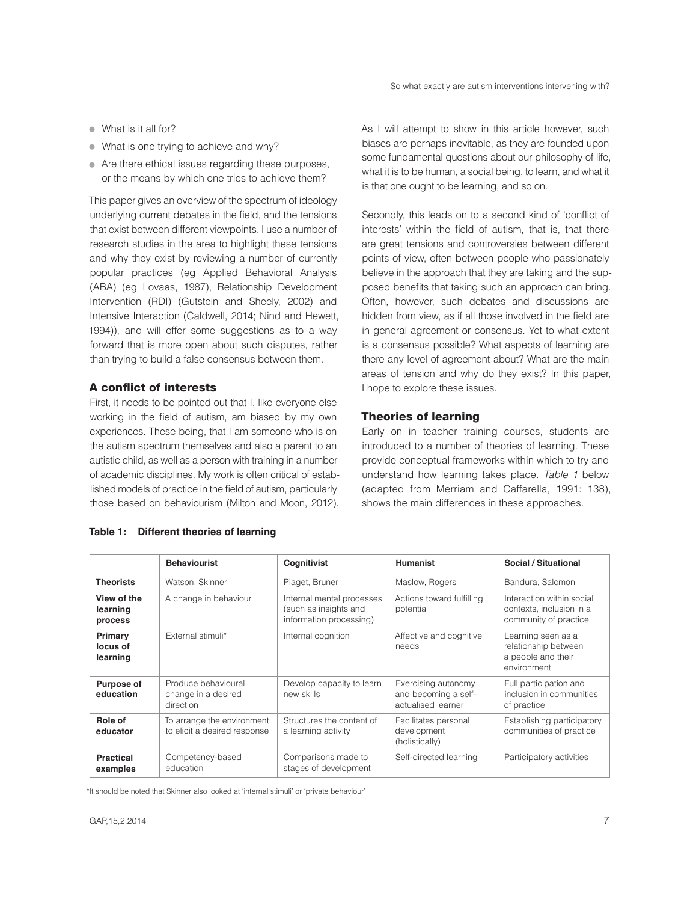- What is it all for?
- What is one trying to achieve and why?
- Are there ethical issues regarding these purposes, or the means by which one tries to achieve them?

This paper gives an overview of the spectrum of ideology underlying current debates in the ield, and the tensions that exist between different viewpoints. I use a number of research studies in the area to highlight these tensions and why they exist by reviewing a number of currently popular practices (eg Applied Behavioral Analysis (ABA) (eg Lovaas, 1987), Relationship Development Intervention (RDI) (Gutstein and Sheely, 2002) and Intensive Interaction (Caldwell, 2014; Nind and Hewett, 1994)), and will offer some suggestions as to a way forward that is more open about such disputes, rather than trying to build a false consensus between them.

#### A conflict of interests

First, it needs to be pointed out that I, like everyone else working in the field of autism, am biased by my own experiences. These being, that I am someone who is on the autism spectrum themselves and also a parent to an autistic child, as well as a person with training in a number of academic disciplines. My work is often critical of established models of practice in the ield of autism, particularly those based on behaviourism (Milton and Moon, 2012).

As I will attempt to show in this article however, such biases are perhaps inevitable, as they are founded upon some fundamental questions about our philosophy of life, what it is to be human, a social being, to learn, and what it is that one ought to be learning, and so on.

Secondly, this leads on to a second kind of 'conflict of interests' within the field of autism, that is, that there are great tensions and controversies between different points of view, often between people who passionately believe in the approach that they are taking and the supposed benefits that taking such an approach can bring. Often, however, such debates and discussions are hidden from view, as if all those involved in the field are in general agreement or consensus. Yet to what extent is a consensus possible? What aspects of learning are there any level of agreement about? What are the main areas of tension and why do they exist? In this paper, I hope to explore these issues.

#### Theories of learning

Early on in teacher training courses, students are introduced to a number of theories of learning. These provide conceptual frameworks within which to try and understand how learning takes place. Table 1 below (adapted from Merriam and Caffarella, 1991: 138), shows the main differences in these approaches.

|                                    | <b>Behaviourist</b>                                        | Cognitivist                                                                   | <b>Humanist</b>                                                   | Social / Situational                                                            |
|------------------------------------|------------------------------------------------------------|-------------------------------------------------------------------------------|-------------------------------------------------------------------|---------------------------------------------------------------------------------|
| <b>Theorists</b>                   | Watson, Skinner                                            | Piaget, Bruner                                                                | Maslow, Rogers                                                    | Bandura, Salomon                                                                |
| View of the<br>learning<br>process | A change in behaviour                                      | Internal mental processes<br>(such as insights and<br>information processing) | Actions toward fulfilling<br>potential                            | Interaction within social<br>contexts, inclusion in a<br>community of practice  |
| Primary<br>locus of<br>learning    | External stimuli*                                          | Internal cognition                                                            | Affective and cognitive<br>needs                                  | Learning seen as a<br>relationship between<br>a people and their<br>environment |
| <b>Purpose of</b><br>education     | Produce behavioural<br>change in a desired<br>direction    | Develop capacity to learn<br>new skills                                       | Exercising autonomy<br>and becoming a self-<br>actualised learner | Full participation and<br>inclusion in communities<br>of practice               |
| Role of<br>educator                | To arrange the environment<br>to elicit a desired response | Structures the content of<br>a learning activity                              | Facilitates personal<br>development<br>(holistically)             | Establishing participatory<br>communities of practice                           |
| <b>Practical</b><br>examples       | Competency-based<br>education                              | Comparisons made to<br>stages of development                                  | Self-directed learning                                            | Participatory activities                                                        |

#### **Table 1: Different theories of learning**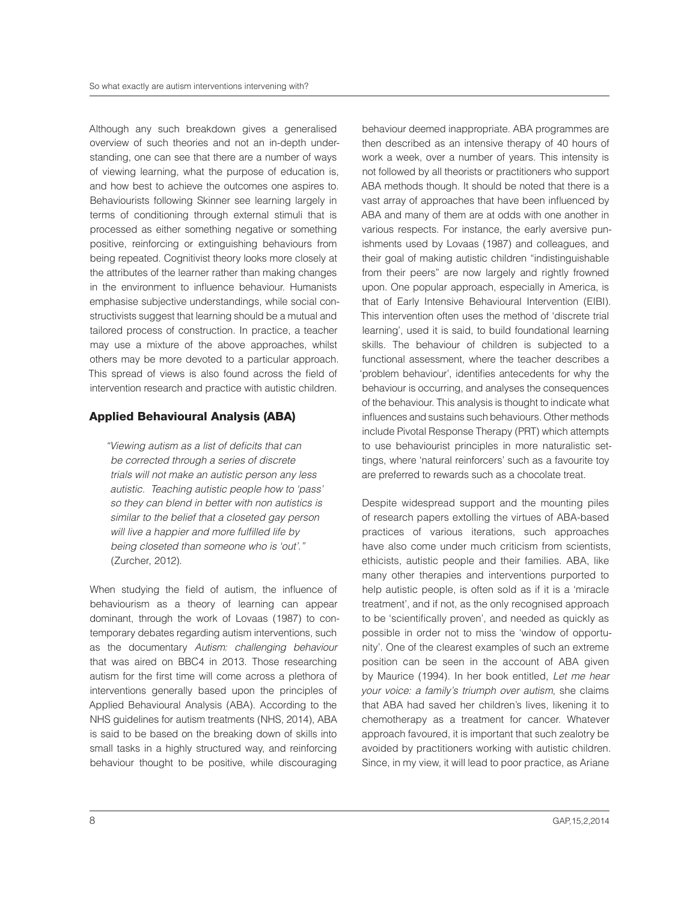Although any such breakdown gives a generalised overview of such theories and not an in-depth understanding, one can see that there are a number of ways of viewing learning, what the purpose of education is, and how best to achieve the outcomes one aspires to. Behaviourists following Skinner see learning largely in terms of conditioning through external stimuli that is processed as either something negative or something positive, reinforcing or extinguishing behaviours from being repeated. Cognitivist theory looks more closely at the attributes of the learner rather than making changes in the environment to influence behaviour. Humanists emphasise subjective understandings, while social constructivists suggest that learning should be a mutual and tailored process of construction. In practice, a teacher may use a mixture of the above approaches, whilst others may be more devoted to a particular approach. This spread of views is also found across the ield of intervention research and practice with autistic children.

#### Applied Behavioural Analysis (ABA)

"Viewing autism as a list of deicits that can be corrected through a series of discrete trials will not make an autistic person any less autistic. Teaching autistic people how to 'pass' so they can blend in better with non autistics is similar to the belief that a closeted gay person will live a happier and more fulfilled life by being closeted than someone who is 'out'." (Zurcher, 2012).

When studying the field of autism, the influence of behaviourism as a theory of learning can appear dominant, through the work of Lovaas (1987) to contemporary debates regarding autism interventions, such as the documentary Autism: challenging behaviour that was aired on BBC4 in 2013. Those researching autism for the irst time will come across a plethora of interventions generally based upon the principles of Applied Behavioural Analysis (ABA). According to the NHS guidelines for autism treatments (NHS, 2014), ABA is said to be based on the breaking down of skills into small tasks in a highly structured way, and reinforcing behaviour thought to be positive, while discouraging

behaviour deemed inappropriate. ABA programmes are then described as an intensive therapy of 40 hours of work a week, over a number of years. This intensity is not followed by all theorists or practitioners who support ABA methods though. It should be noted that there is a vast array of approaches that have been inluenced by ABA and many of them are at odds with one another in various respects. For instance, the early aversive punishments used by Lovaas (1987) and colleagues, and their goal of making autistic children "indistinguishable from their peers" are now largely and rightly frowned upon. One popular approach, especially in America, is that of Early Intensive Behavioural Intervention (EIBI). This intervention often uses the method of 'discrete trial learning', used it is said, to build foundational learning skills. The behaviour of children is subjected to a functional assessment, where the teacher describes a 'problem behaviour', identifies antecedents for why the behaviour is occurring, and analyses the consequences of the behaviour. This analysis is thought to indicate what influences and sustains such behaviours. Other methods include Pivotal Response Therapy (PRT) which attempts to use behaviourist principles in more naturalistic settings, where 'natural reinforcers' such as a favourite toy are preferred to rewards such as a chocolate treat.

Despite widespread support and the mounting piles of research papers extolling the virtues of ABA-based practices of various iterations, such approaches have also come under much criticism from scientists, ethicists, autistic people and their families. ABA, like many other therapies and interventions purported to help autistic people, is often sold as if it is a 'miracle treatment', and if not, as the only recognised approach to be 'scientifically proven', and needed as quickly as possible in order not to miss the 'window of opportunity'. One of the clearest examples of such an extreme position can be seen in the account of ABA given by Maurice (1994). In her book entitled, Let me hear your voice: a familyís triumph over autism, she claims that ABA had saved her children's lives, likening it to chemotherapy as a treatment for cancer. Whatever approach favoured, it is important that such zealotry be avoided by practitioners working with autistic children. Since, in my view, it will lead to poor practice, as Ariane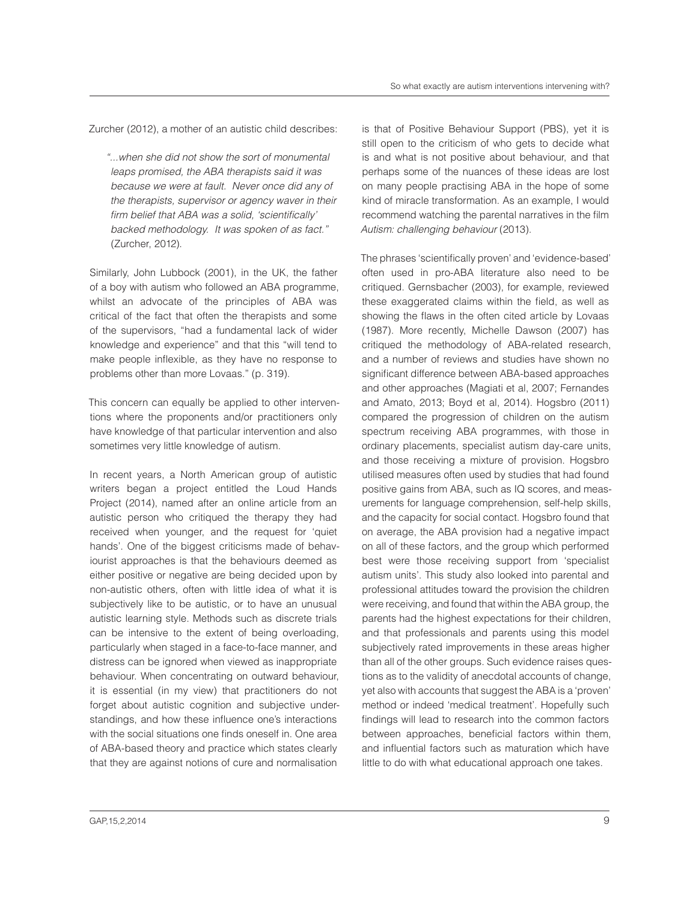Zurcher (2012), a mother of an autistic child describes:

ì...when she did not show the sort of monumental leaps promised, the ABA therapists said it was because we were at fault. Never once did any of the therapists, supervisor or agency waver in their firm belief that ABA was a solid, 'scientifically' backed methodology. It was spoken of as fact." (Zurcher, 2012).

Similarly, John Lubbock (2001), in the UK, the father of a boy with autism who followed an ABA programme, whilst an advocate of the principles of ABA was critical of the fact that often the therapists and some of the supervisors, "had a fundamental lack of wider knowledge and experience" and that this "will tend to make people inflexible, as they have no response to problems other than more Lovaas." (p. 319).

This concern can equally be applied to other interventions where the proponents and/or practitioners only have knowledge of that particular intervention and also sometimes very little knowledge of autism.

In recent years, a North American group of autistic writers began a project entitled the Loud Hands Project (2014), named after an online article from an autistic person who critiqued the therapy they had received when younger, and the request for 'quiet hands'. One of the biggest criticisms made of behaviourist approaches is that the behaviours deemed as either positive or negative are being decided upon by non-autistic others, often with little idea of what it is subjectively like to be autistic, or to have an unusual autistic learning style. Methods such as discrete trials can be intensive to the extent of being overloading, particularly when staged in a face-to-face manner, and distress can be ignored when viewed as inappropriate behaviour. When concentrating on outward behaviour, it is essential (in my view) that practitioners do not forget about autistic cognition and subjective understandings, and how these influence one's interactions with the social situations one finds oneself in. One area of ABA-based theory and practice which states clearly that they are against notions of cure and normalisation

is that of Positive Behaviour Support (PBS), yet it is still open to the criticism of who gets to decide what is and what is not positive about behaviour, and that perhaps some of the nuances of these ideas are lost on many people practising ABA in the hope of some kind of miracle transformation. As an example, I would recommend watching the parental narratives in the ilm Autism: challenging behaviour (2013).

The phrases 'scientifically proven' and 'evidence-based' often used in pro-ABA literature also need to be critiqued. Gernsbacher (2003), for example, reviewed these exaggerated claims within the ield, as well as showing the flaws in the often cited article by Lovaas (1987). More recently, Michelle Dawson (2007) has critiqued the methodology of ABA-related research, and a number of reviews and studies have shown no significant difference between ABA-based approaches and other approaches (Magiati et al, 2007; Fernandes and Amato, 2013; Boyd et al, 2014). Hogsbro (2011) compared the progression of children on the autism spectrum receiving ABA programmes, with those in ordinary placements, specialist autism day-care units, and those receiving a mixture of provision. Hogsbro utilised measures often used by studies that had found positive gains from ABA, such as IQ scores, and measurements for language comprehension, self-help skills, and the capacity for social contact. Hogsbro found that on average, the ABA provision had a negative impact on all of these factors, and the group which performed best were those receiving support from 'specialist autism units'. This study also looked into parental and professional attitudes toward the provision the children were receiving, and found that within the ABA group, the parents had the highest expectations for their children, and that professionals and parents using this model subjectively rated improvements in these areas higher than all of the other groups. Such evidence raises questions as to the validity of anecdotal accounts of change, yet also with accounts that suggest the ABA is a 'proven' method or indeed 'medical treatment'. Hopefully such findings will lead to research into the common factors between approaches, beneficial factors within them, and inluential factors such as maturation which have little to do with what educational approach one takes.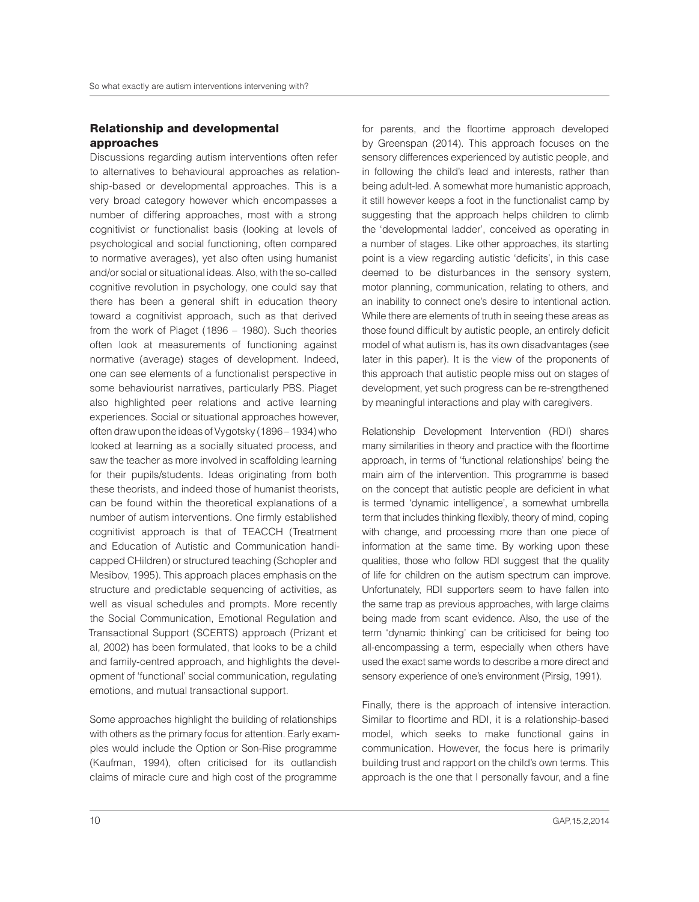#### Relationship and developmental approaches

Discussions regarding autism interventions often refer to alternatives to behavioural approaches as relationship-based or developmental approaches. This is a very broad category however which encompasses a number of differing approaches, most with a strong cognitivist or functionalist basis (looking at levels of psychological and social functioning, often compared to normative averages), yet also often using humanist and/or social or situational ideas. Also, with the so-called cognitive revolution in psychology, one could say that there has been a general shift in education theory toward a cognitivist approach, such as that derived from the work of Piaget (1896 – 1980). Such theories often look at measurements of functioning against normative (average) stages of development. Indeed, one can see elements of a functionalist perspective in some behaviourist narratives, particularly PBS. Piaget also highlighted peer relations and active learning experiences. Social or situational approaches however, often draw upon the ideas of Vygotsky (1896 – 1934) who looked at learning as a socially situated process, and saw the teacher as more involved in scaffolding learning for their pupils/students. Ideas originating from both these theorists, and indeed those of humanist theorists, can be found within the theoretical explanations of a number of autism interventions. One irmly established cognitivist approach is that of TEACCH (Treatment and Education of Autistic and Communication handicapped CHildren) or structured teaching (Schopler and Mesibov, 1995). This approach places emphasis on the structure and predictable sequencing of activities, as well as visual schedules and prompts. More recently the Social Communication, Emotional Regulation and Transactional Support (SCERTS) approach (Prizant et al, 2002) has been formulated, that looks to be a child and family-centred approach, and highlights the development of 'functional' social communication, regulating emotions, and mutual transactional support.

Some approaches highlight the building of relationships with others as the primary focus for attention. Early examples would include the Option or Son-Rise programme (Kaufman, 1994), often criticised for its outlandish claims of miracle cure and high cost of the programme

for parents, and the floortime approach developed by Greenspan (2014). This approach focuses on the sensory differences experienced by autistic people, and in following the child's lead and interests, rather than being adult-led. A somewhat more humanistic approach, it still however keeps a foot in the functionalist camp by suggesting that the approach helps children to climb the 'developmental ladder', conceived as operating in a number of stages. Like other approaches, its starting point is a view regarding autistic 'deficits', in this case deemed to be disturbances in the sensory system, motor planning, communication, relating to others, and an inability to connect one's desire to intentional action. While there are elements of truth in seeing these areas as those found difficult by autistic people, an entirely deficit model of what autism is, has its own disadvantages (see later in this paper). It is the view of the proponents of this approach that autistic people miss out on stages of development, yet such progress can be re-strengthened by meaningful interactions and play with caregivers.

Relationship Development Intervention (RDI) shares many similarities in theory and practice with the floortime approach, in terms of 'functional relationships' being the main aim of the intervention. This programme is based on the concept that autistic people are deicient in what is termed 'dynamic intelligence', a somewhat umbrella term that includes thinking flexibly, theory of mind, coping with change, and processing more than one piece of information at the same time. By working upon these qualities, those who follow RDI suggest that the quality of life for children on the autism spectrum can improve. Unfortunately, RDI supporters seem to have fallen into the same trap as previous approaches, with large claims being made from scant evidence. Also, the use of the term 'dynamic thinking' can be criticised for being too all-encompassing a term, especially when others have used the exact same words to describe a more direct and sensory experience of one's environment (Pirsig, 1991).

Finally, there is the approach of intensive interaction. Similar to floortime and RDI, it is a relationship-based model, which seeks to make functional gains in communication. However, the focus here is primarily building trust and rapport on the child's own terms. This approach is the one that I personally favour, and a fine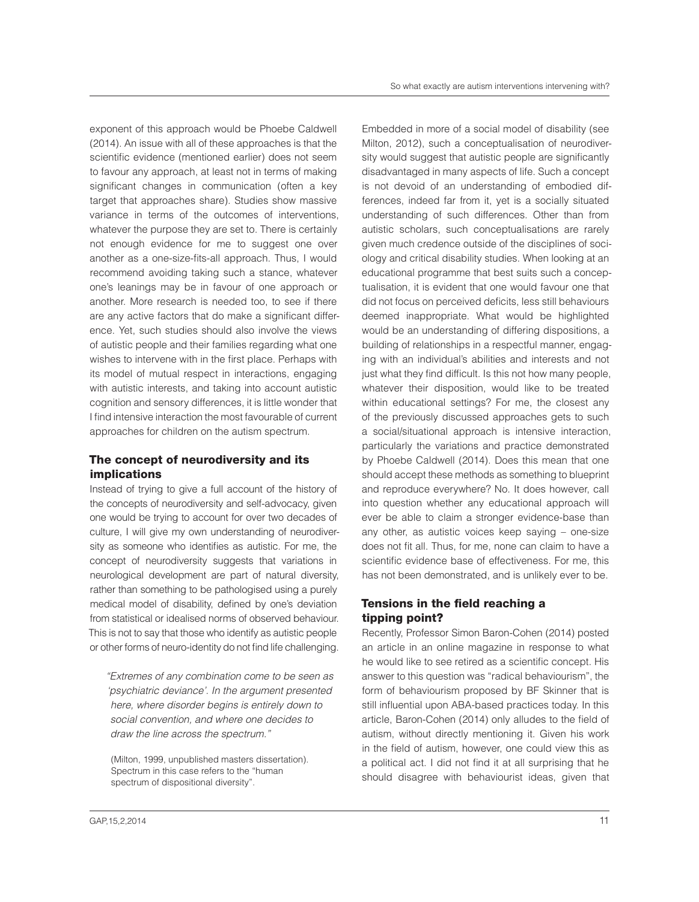exponent of this approach would be Phoebe Caldwell (2014). An issue with all of these approaches is that the scientific evidence (mentioned earlier) does not seem to favour any approach, at least not in terms of making significant changes in communication (often a key target that approaches share). Studies show massive variance in terms of the outcomes of interventions, whatever the purpose they are set to. There is certainly not enough evidence for me to suggest one over another as a one-size-fits-all approach. Thus, I would recommend avoiding taking such a stance, whatever one's leanings may be in favour of one approach or another. More research is needed too, to see if there are any active factors that do make a significant difference. Yet, such studies should also involve the views of autistic people and their families regarding what one wishes to intervene with in the first place. Perhaps with its model of mutual respect in interactions, engaging with autistic interests, and taking into account autistic cognition and sensory differences, it is little wonder that I find intensive interaction the most favourable of current approaches for children on the autism spectrum.

#### The concept of neurodiversity and its implications

Instead of trying to give a full account of the history of the concepts of neurodiversity and self-advocacy, given one would be trying to account for over two decades of culture, I will give my own understanding of neurodiversity as someone who identifies as autistic. For me, the concept of neurodiversity suggests that variations in neurological development are part of natural diversity, rather than something to be pathologised using a purely medical model of disability, defined by one's deviation from statistical or idealised norms of observed behaviour. This is not to say that those who identify as autistic people or other forms of neuro-identity do not find life challenging.

ìExtremes of any combination come to be seen as 'psychiatric deviance'. In the argument presented here, where disorder begins is entirely down to social convention, and where one decides to draw the line across the spectrum."

(Milton, 1999, unpublished masters dissertation). Spectrum in this case refers to the "human spectrum of dispositional diversity".

Embedded in more of a social model of disability (see Milton, 2012), such a conceptualisation of neurodiversity would suggest that autistic people are significantly disadvantaged in many aspects of life. Such a concept is not devoid of an understanding of embodied differences, indeed far from it, yet is a socially situated understanding of such differences. Other than from autistic scholars, such conceptualisations are rarely given much credence outside of the disciplines of sociology and critical disability studies. When looking at an educational programme that best suits such a conceptualisation, it is evident that one would favour one that did not focus on perceived deicits, less still behaviours deemed inappropriate. What would be highlighted would be an understanding of differing dispositions, a building of relationships in a respectful manner, engaging with an individual's abilities and interests and not just what they find difficult. Is this not how many people, whatever their disposition, would like to be treated within educational settings? For me, the closest any of the previously discussed approaches gets to such a social/situational approach is intensive interaction, particularly the variations and practice demonstrated by Phoebe Caldwell (2014). Does this mean that one should accept these methods as something to blueprint and reproduce everywhere? No. It does however, call into question whether any educational approach will ever be able to claim a stronger evidence-base than any other, as autistic voices keep saying – one-size does not fit all. Thus, for me, none can claim to have a scientific evidence base of effectiveness. For me, this has not been demonstrated, and is unlikely ever to be.

#### Tensions in the field reaching a tipping point?

Recently, Professor Simon Baron-Cohen (2014) posted an article in an online magazine in response to what he would like to see retired as a scientific concept. His answer to this question was "radical behaviourism", the form of behaviourism proposed by BF Skinner that is still influential upon ABA-based practices today. In this article, Baron-Cohen (2014) only alludes to the ield of autism, without directly mentioning it. Given his work in the field of autism, however, one could view this as a political act. I did not find it at all surprising that he should disagree with behaviourist ideas, given that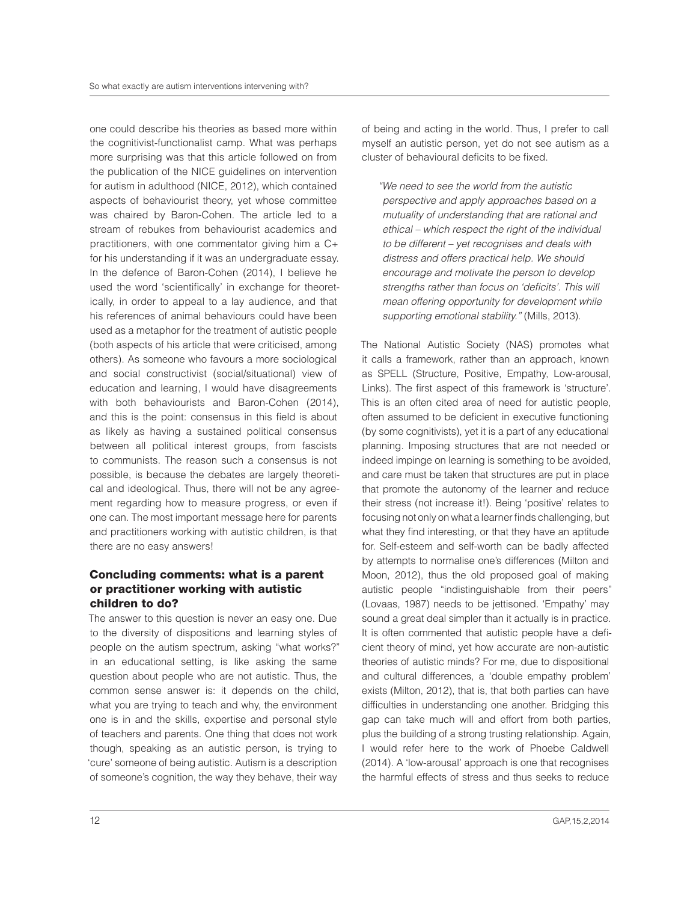one could describe his theories as based more within the cognitivist-functionalist camp. What was perhaps more surprising was that this article followed on from the publication of the NICE guidelines on intervention for autism in adulthood (NICE, 2012), which contained aspects of behaviourist theory, yet whose committee was chaired by Baron-Cohen. The article led to a stream of rebukes from behaviourist academics and practitioners, with one commentator giving him a C+ for his understanding if it was an undergraduate essay. In the defence of Baron-Cohen (2014), I believe he used the word 'scientifically' in exchange for theoretically, in order to appeal to a lay audience, and that his references of animal behaviours could have been used as a metaphor for the treatment of autistic people (both aspects of his article that were criticised, among others). As someone who favours a more sociological and social constructivist (social/situational) view of education and learning, I would have disagreements with both behaviourists and Baron-Cohen (2014), and this is the point: consensus in this field is about as likely as having a sustained political consensus between all political interest groups, from fascists to communists. The reason such a consensus is not possible, is because the debates are largely theoretical and ideological. Thus, there will not be any agreement regarding how to measure progress, or even if one can. The most important message here for parents and practitioners working with autistic children, is that there are no easy answers!

#### Concluding comments: what is a parent or practitioner working with autistic children to do?

The answer to this question is never an easy one. Due to the diversity of dispositions and learning styles of people on the autism spectrum, asking "what works?" in an educational setting, is like asking the same question about people who are not autistic. Thus, the common sense answer is: it depends on the child, what you are trying to teach and why, the environment one is in and the skills, expertise and personal style of teachers and parents. One thing that does not work though, speaking as an autistic person, is trying to 'cure' someone of being autistic. Autism is a description of someone's cognition, the way they behave, their way

of being and acting in the world. Thus, I prefer to call myself an autistic person, yet do not see autism as a cluster of behavioural deicits to be ixed.

ìWe need to see the world from the autistic perspective and apply approaches based on a mutuality of understanding that are rational and ethical – which respect the right of the individual to be different – yet recognises and deals with distress and offers practical help. We should encourage and motivate the person to develop strengths rather than focus on 'deficits'. This will mean offering opportunity for development while supporting emotional stability." (Mills, 2013).

The National Autistic Society (NAS) promotes what it calls a framework, rather than an approach, known as SPELL (Structure, Positive, Empathy, Low-arousal, Links). The first aspect of this framework is 'structure'. This is an often cited area of need for autistic people, often assumed to be deicient in executive functioning (by some cognitivists), yet it is a part of any educational planning. Imposing structures that are not needed or indeed impinge on learning is something to be avoided, and care must be taken that structures are put in place that promote the autonomy of the learner and reduce their stress (not increase it!). Being 'positive' relates to focusing not only on what a learner finds challenging, but what they find interesting, or that they have an aptitude for. Self-esteem and self-worth can be badly affected by attempts to normalise one's differences (Milton and Moon, 2012), thus the old proposed goal of making autistic people "indistinguishable from their peers" (Lovaas, 1987) needs to be jettisoned. 'Empathy' may sound a great deal simpler than it actually is in practice. It is often commented that autistic people have a deficient theory of mind, yet how accurate are non-autistic theories of autistic minds? For me, due to dispositional and cultural differences, a 'double empathy problem' exists (Milton, 2012), that is, that both parties can have dificulties in understanding one another. Bridging this gap can take much will and effort from both parties, plus the building of a strong trusting relationship. Again, I would refer here to the work of Phoebe Caldwell (2014). A 'low-arousal' approach is one that recognises the harmful effects of stress and thus seeks to reduce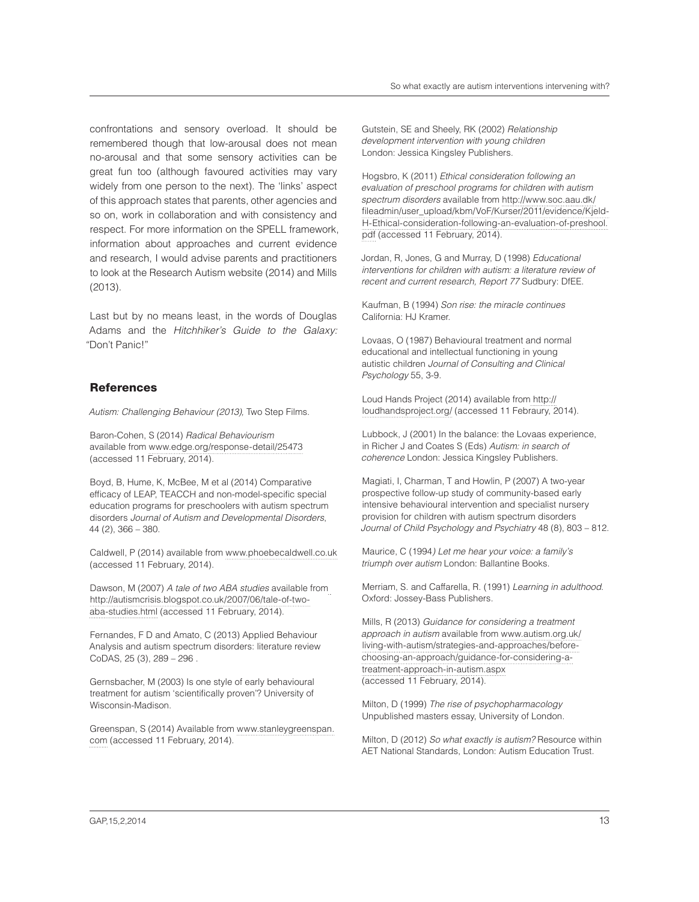confrontations and sensory overload. It should be remembered though that low-arousal does not mean no-arousal and that some sensory activities can be great fun too (although favoured activities may vary widely from one person to the next). The 'links' aspect of this approach states that parents, other agencies and so on, work in collaboration and with consistency and respect. For more information on the SPELL framework, information about approaches and current evidence and research, I would advise parents and practitioners to look at the Research Autism website (2014) and Mills (2013).

Last but by no means least, in the words of Douglas Adams and the Hitchhiker's Guide to the Galaxy: ìDon't Panic!"

#### **References**

Autism: Challenging Behaviour (2013), Two Step Films.

Baron-Cohen, S (2014) Radical Behaviourism available from www.edge.org/response-detail/25473 (accessed 11 February, 2014).

Boyd, B, Hume, K, McBee, M et al (2014) Comparative efficacy of LEAP, TEACCH and non-model-specific special education programs for preschoolers with autism spectrum disorders Journal of Autism and Developmental Disorders, 44 (2), 366 – 380.

Caldwell, P (2014) available from www.phoebecaldwell.co.uk (accessed 11 February, 2014).

Dawson, M (2007) A tale of two ABA studies available from http://autismcrisis.blogspot.co.uk/2007/06/tale-of-twoaba-studies.html (accessed 11 February, 2014).

Fernandes, F D and Amato, C (2013) Applied Behaviour Analysis and autism spectrum disorders: literature review CoDAS, 25 (3), 289 – 296 .

Gernsbacher, M (2003) Is one style of early behavioural treatment for autism 'scientiically proven'? University of Wisconsin-Madison.

Greenspan, S (2014) Available from www.stanleygreenspan. com (accessed 11 February, 2014).

Gutstein, SE and Sheely, RK (2002) Relationship development intervention with young children London: Jessica Kingsley Publishers.

Hogsbro, K (2011) Ethical consideration following an evaluation of preschool programs for children with autism spectrum disorders available from http://www.soc.aau.dk/ ileadmin/user\_upload/kbm/VoF/Kurser/2011/evidence/Kjeld-H-Ethical-consideration-following-an-evaluation-of-preshool. pdf (accessed 11 February, 2014).

Jordan, R, Jones, G and Murray, D (1998) Educational interventions for children with autism: a literature review of recent and current research, Report 77 Sudbury: DfEE.

Kaufman, B (1994) Son rise: the miracle continues California: HJ Kramer.

Lovaas, O (1987) Behavioural treatment and normal educational and intellectual functioning in young autistic children Journal of Consulting and Clinical Psychology 55, 3-9.

Loud Hands Project (2014) available from http:// loudhandsproject.org/ (accessed 11 Febraury, 2014).

Lubbock, J (2001) In the balance: the Lovaas experience, in Richer J and Coates S (Eds) Autism: in search of coherence London: Jessica Kingsley Publishers.

Magiati, I, Charman, T and Howlin, P (2007) A two-year prospective follow-up study of community-based early intensive behavioural intervention and specialist nursery provision for children with autism spectrum disorders Journal of Child Psychology and Psychiatry 48 (8), 803 – 812.

Maurice, C (1994) Let me hear your voice: a family's triumph over autism London: Ballantine Books.

Merriam, S. and Caffarella, R. (1991) Learning in adulthood. Oxford: Jossey-Bass Publishers.

Mills, R (2013) Guidance for considering a treatment approach in autism available from www.autism.org.uk/ living-with-autism/strategies-and-approaches/beforechoosing-an-approach/guidance-for-considering-atreatment-approach-in-autism.aspx (accessed 11 February, 2014).

Milton, D (1999) The rise of psychopharmacology Unpublished masters essay, University of London.

Milton, D (2012) So what exactly is autism? Resource within AET National Standards, London: Autism Education Trust.